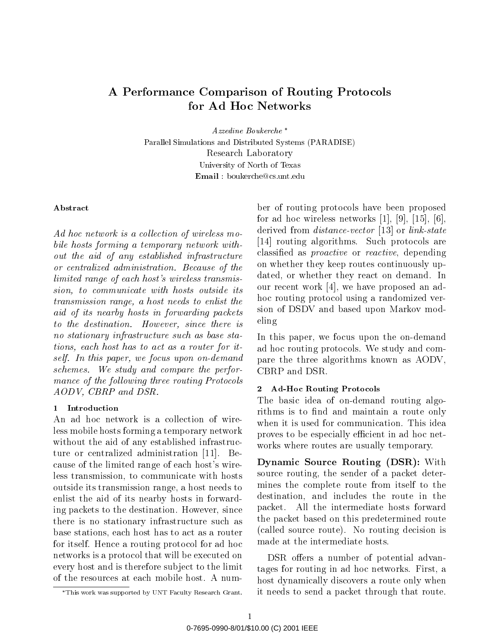# A Performance Comparison of Routing Protocols

Azzedine Boukerche

Parallel Simulations and Distributed Systems (PARADISE) Research Laboratory University of North of Texas

Ad hoc network is a collection of wireless mobile hosts forming a temporary network without the aid of any established infrastructure or centralized administration. Because of the limited range of each host's wireless transmission, to communicate with hosts outside its transmission range, a host needs to enlist the aid of its nearby hosts in forwarding packets to the destination. However, since there is no stationary infrastructure such as base stations, each host has to act as a router for itself. In this paper, we focus upon on-demand schemes. We study and compare the performance of the following three routing Protocols AODV, CBRP and DSR.

# 1 Introduction

An ad hoc network is a collection of wireless mobile hosts forming a temporary network without the aid of any established infrastructure or centralized administration [11]. Because of the limited range of each host's wireless transmission, to communicate with hosts outside its transmission range, a host needs to enlist the aid of its nearby hosts in forwarding packets to the destination. However, since there is no stationary infrastructure such as base stations, each host has to act as a router for itself. Hence a routing protocol for ad hoc networks is a protocol that will be executed on every host and is therefore subject to the limit of the resources at each mobile host. A number of routing protocols have been proposed for ad hoc wireless networks  $[1]$ ,  $[9]$ ,  $[15]$ ,  $[6]$ , derived from distance-vector [13] or link-state [14] routing algorithms. Such protocols are classied as proactive or reactive, depending on whether they keep routes continuously updated, or whether they react on demand. In our recent work [4], we have proposed an adhoc routing protocol using a randomized version of DSDV and based upon Markov modeling

In this paper, we focus upon the on-demand ad hoc routing protocols. We study and compare the three algorithms known as AODV, CBRP and DSR.

# 2 Ad-Hoc Routing Protocols

The basic idea of on-demand routing algorithms is to find and maintain a route only when it is used for communication. This idea proves to be especially efficient in ad hoc networks where routes are usually temporary.

Dynamic Source Routing (DSR): With source routing, the sender of a packet determines the complete route from itself to the destination, and includes the route in the packet. All the intermediate hosts forward the packet based on this predetermined route (called source route). No routing decision is made at the intermediate hosts.

 it needs to send a packet through that route. DSR offers a number of potential advantages for routing in ad hoc networks. First, a host dynamically discovers a route only when

This work was supported by UNT Faculty Research Grant.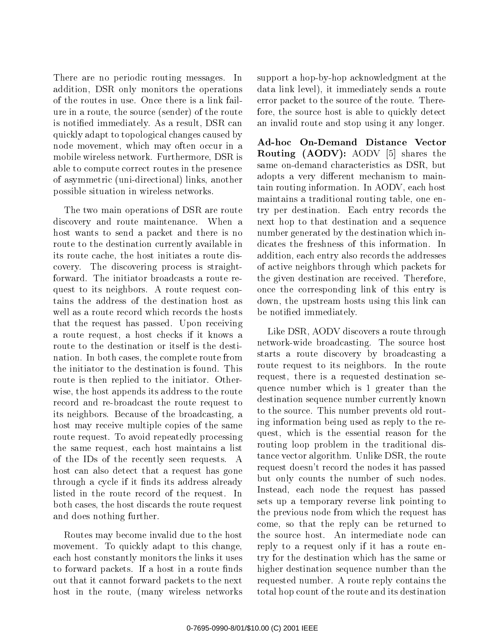There are no periodic routing messages. In addition, DSR only monitors the operations of the routes in use.Once there is a link failure in a route, the source (sender) of the route is notied immediately. As a result, DSR can quickly adapt to topological changes caused by<br>
rode movement, which may often eccur in a **Ad-hoc** node movement, which may often occur in a mobile wireless network. Furthermore, DSR is able to compute correct routes in the presence of asymmetric (uni-directional) links, another possible situation in wireless networks.

The two main operations of DSR are route discovery and route maintenance. When a host wants to send a packet and there is no route to the destination currently available in its route cache, the host initiates a route discovery. The discovering process is straightforward. The initiator broadcasts a route request to its neighbors. A route request contains the address of the destination host as well as a route record which records the hosts that the request has passed. Upon receiving a route request, a host checks if it knows a route to the destination or itself is the destination. In both cases, the complete route from the initiator to the destination is found. This route is then replied to the initiator. Otherwise, the host appends its address to the route record and re-broadcast the route request to its neighbors. Because of the broadcasting, a host may receive multiple copies of the same route request. To avoid repeatedly processing the same request, each host maintains a list of the IDs of the recently seen requests. A host can also detect that a request has gone through a cycle if it finds its address already listed in the route record of the request. In both cases, the host discards the route request and does nothing further.

Routes may become invalid due to the host movement. To quickly adapt to this change, each host constantly monitors the links it uses to forward packets. If a host in a route finds out that it cannot forward packets to the next host in the route, (many wireless networks support a hop-by-hop acknowledgment at the data link level), it immediately sends a route error packet to the source of the route. Therefore, the source host is able to quickly detect an invalid route and stop using it any longer.

On-Demand Distance Vector Routing (AODV): AODV [5] shares the same on-demand characteristics as DSR, but adopts a very different mechanism to maintain routing information. In AODV, each host maintains a traditional routing table, one entry per destination. Each entry records the next hop to that destination and a sequence number generated by the destination which indicates the freshness of this information. In addition, each entry also records the addresses of active neighbors through which packets for the given destination are received. Therefore, once the corresponding link of this entry is down, the upstream hosts using this link can be notified immediately.

Like DSR, AODV discovers a route through network-wide broadcasting. The source host starts a route discovery by broadcasting a route request to its neighbors. In the route request, there is a requested destination sequence number which is 1 greater than the destination sequence number currently known to the source. This number prevents old routing information being used as reply to the request, which is the essential reason for the routing loop problem in the traditional distance vector algorithm. Unlike DSR, the route request doesn't record the nodes it has passed but only counts the number of such nodes. Instead, each node the request has passed sets up a temporary reverse link pointing to the previous node from which the request has come, so that the reply can be returned to the source host. An intermediate node can reply to a request only if it has a route entry for the destination which has the same or higher destination sequence number than the requested number. A route reply contains the total hop count of the route and its destination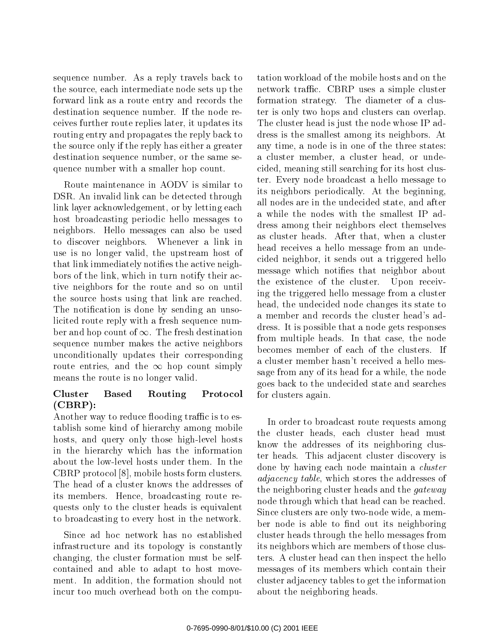sequence number. As a reply travels back to the source, each intermediate node sets up the forward link as a route entry and records the destination sequence number. If the node receives further route replies later, it updates its routing entry and propagates the reply back to the source only if the reply has either a greater destination sequence number, or the same sequence number with a smaller hop count.

Route maintenance in AODV is similar to DSR. An invalid link can be detected through link layer acknowledgement, or by letting each host broadcasting periodic hello messages to neighbors. Hello messages can also be used to discover neighbors. Whenever a link in use is no longer valid, the upstream host of that link immediately notifies the active neighbors of the link, which in turn notify their active neighbors for the route and so on until the source hosts using that link are reached. The notification is done by sending an unsolicited route reply with a fresh sequence number and hop count of  $\infty$ . The fresh destination sequence number makes the active neighbors unconditionally updates their corresponding route entries, and the  $\infty$  hop count simply means the route is no longer valid.

### Cluster Based Routing Protocol  $\mathbf{Based}$ (CBRP):

Another way to reduce flooding traffic is to establish some kind of hierarchy among mobile hosts, and query only those high-level hosts in the hierarchy which has the information about the low-level hosts under them. In the CBRP protocol [8], mobile hosts form clusters. The head of a cluster knows the addresses of its members. Hence, broadcasting route requests only to the cluster heads is equivalent to broadcasting to every host in the network.

Since ad hoc network has no established infrastructure and its topology is constantly changing, the cluster formation must be selfcontained and able to adapt to host movement. In addition, the formation should not incur too much overhead both on the compu-

tation workload of the mobile hosts and on the network traffic. CBRP uses a simple cluster formation strategy. The diameter of a cluster is only two hops and clusters can overlap. The cluster head is just the node whose IP address is the smallest among its neighbors. At any time, a node is in one of the three states: a cluster member, a cluster head, or undecided, meaning still searching for its host cluster. Every node broadcast a hello message to its neighbors periodically. At the beginning, all nodes are in the undecided state, and after a while the nodes with the smallest IP address among their neighbors elect themselves as cluster heads. After that, when a cluster head receives a hello message from an undecided neighbor, it sends out a triggered hello message which noties that neighbor about the existence of the cluster. Upon receiving the triggered hello message from a cluster head, the undecided node changes its state to a member and records the cluster head's address. It is possible that a node gets responses from multiple heads. In that case, the node becomes member of each of the clusters. If a cluster member hasn't received a hello message from any of its head for a while, the node goes back to the undecided state and searches for clusters again.

In order to broadcast route requests among the cluster heads, each cluster head must know the addresses of its neighboring cluster heads. This adjacent cluster discovery is done by having each node maintain a cluster adjacency table, which stores the addresses of the neighboring cluster heads and the *gateway* node through which that head can be reached. Since clusters are only two-node wide, a member node is able to find out its neighboring cluster heads through the hello messages from its neighbors which are members of those clusters. A cluster head can then inspect the hello messages of its members which contain their cluster adjacency tables to get the information about the neighboring heads.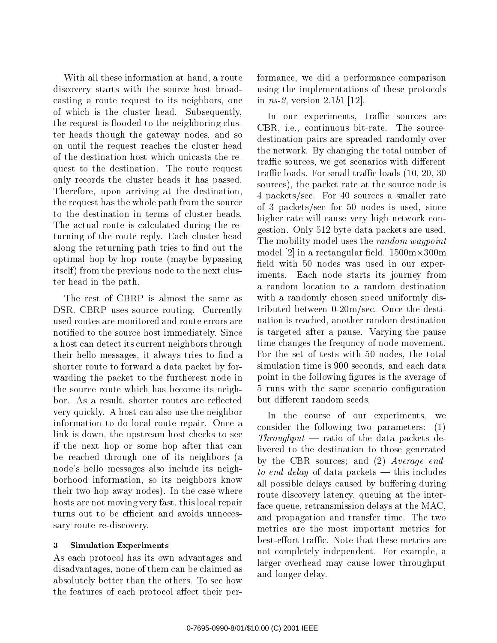With all these information at hand, a route discovery starts with the source host broadcasting a route request to its neighbors, one of which is the cluster head. Subsequently, the request is flooded to the neighboring cluster heads though the gateway nodes, and so on until the request reaches the cluster head of the destination host which unicasts the request to the destination. The route request only records the cluster heads it has passed. Therefore, upon arriving at the destination, the request has the whole path from the source to the destination in terms of cluster heads. The actual route is calculated during the returning of the route reply. Each cluster head along the returning path tries to find out the optimal hop-by-hop route (maybe bypassing itself) from the previous node to the next cluster head in the path.

The rest of CBRP is almost the same as DSR. CBRP uses source routing. Currently used routes are monitored and route errors are notied to the source host immediately. Since a host can detect its current neighbors through their hello messages, it always tries to find a shorter route to forward a data packet by forwarding the packet to the furtherest node in the source route which has become its neighbor. As a result, shorter routes are reflected very quickly. A host can also use the neighbor information to do local route repair. Once a link is down, the upstream host checks to see if the next hop or some hop after that can be reached through one of its neighbors (a node's hello messages also include its neighborhood information, so its neighbors know their two-hop away nodes). In the case where hosts are not moving very fast, this local repair turns out to be efficient and avoids unnecessary route re-discovery.

# 3 Simulation Experiments

As each protocol has its own advantages and disadvantages, none of them can be claimed as absolutely better than the others. To see how the features of each protocol affect their per-

formance, we did a performance comparison using the implementations of these protocols in *ns-2*, version  $2.1b1$  [12].

In our experiments, traffic sources are CBR, i.e., continuous bit-rate. The sourcedestination pairs are spreaded randomly over the network. By changing the total number of traffic sources, we get scenarios with different traffic loads. For small traffic loads  $(10, 20, 30)$ sources), the packet rate at the source node is 4 packets/sec. For 40 sources a smaller rate of 3 packets/sec for 50 nodes is used, since higher rate will cause very high network congestion. Only 512 byte data packets are used. The mobility model uses the *random waypoint* model <u>in a rectangular electro</u> and the contract of the contract of the contract of the contract of the contract of the contract of the contract of the contract of the contract of the contract of the contract of the contr field with 50 nodes was used in our experiments. Each node starts its journey from a random location to a random destination with a randomly chosen speed uniformly distributed between 0-20m/sec. Once the destination is reached, another random destination is targeted after a pause. Varying the pause time changes the frequncy of node movement. For the set of tests with 50 nodes, the total simulation time is 900 seconds, and each data point in the following figures is the average of 5 runs with the same scenario conguration but different random seeds.

In the course of our experiments, we consider the following two parameters: (1)  $Throughout$  — ratio of the data packets delivered to the destination to those generated by the CBR sources; and (2) Average endto-end delay of data packets  $-$  this includes all possible delays caused by buffering during route discovery latency, queuing at the interface queue, retransmission delays at the MAC, and propagation and transfer time. The two metrics are the most important metrics for best-effort traffic. Note that these metrics are not completely independent. For example, a larger overhead may cause lower throughput and longer delay.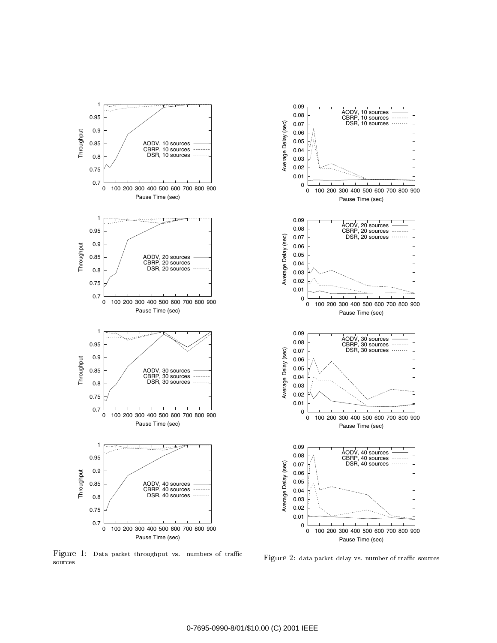

Figure 1: Data packet throughput vs. numbers of traffic sources

Figure 2: data packet delay vs. number of traffic sources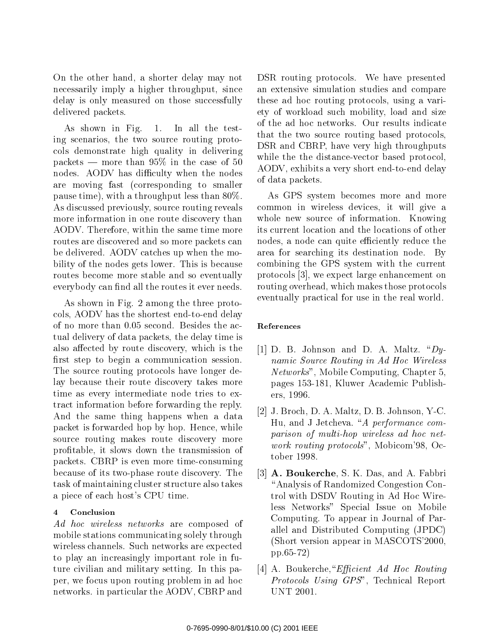On the other hand, a shorter delay may not necessarily imply a higher throughput, since delay is only measured on those successfully delivered packets.

As shown in Fig. 1. In all the testing scenarios, the two source routing protocols demonstrate high quality in delivering packets — more than  $95\%$  in the case of 50 nodes. AODV has difficulty when the nodes are moving fast (corresponding to smaller pause time), with a throughput less than 80%. As discussed previously, source routing reveals more information in one route discovery than AODV. Therefore, within the same time more routes are discovered and so more packets can be delivered. AODV catches up when the mobility of the nodes gets lower. This is because routes become more stable and so eventually everybody can find all the routes it ever needs.

As shown in Fig. 2 among the three protocols, AODV has the shortest end-to-end delay of no more than 0.05 second. Besides the actual delivery of data packets, the delay time is also affected by route discovery, which is the first step to begin a communication session. The source routing protocols have longer delay because their route discovery takes more time as every intermediate node tries to extract information before forwarding the reply. And the same thing happens when a data packet is forwarded hop by hop. Hence, while source routing makes route discovery more protable, it slows down the transmission of packets. CBRP is even more time-consuming because of its two-phase route discovery. The task of maintaining cluster structure also takes a piece of each host's CPU time.

#### $\overline{\mathbf{4}}$ **Conclusion**

Ad hoc wireless networks are composed of mobile stations communicating solely through wireless channels. Such networks are expected to play an increasingly important role in future civilian and military setting. In this paper, we focus upon routing problem in ad hoc networks. in particular the AODV, CBRP and

DSR routing protocols. We have presented an extensive simulation studies and compare these ad hoc routing protocols, using a variety of workload such mobility, load and size of the ad hoc networks. Our results indicate that the two source routing based protocols, DSR and CBRP, have very high throughputs while the the distance-vector based protocol, AODV, exhibits a very short end-to-end delay of data packets.

As GPS system becomes more and more common in wireless devices, it will give a whole new source of information. Knowing its current location and the locations of other nodes, a node can quite efficiently reduce the area for searching its destination node. By combining the GPS system with the current protocols [3], we expect large enhancement on routing overhead, which makes those protocols eventually practical for use in the real world.

# References

- [1] D. B. Johnson and D. A. Maltz.  $\nu D_y$ namic Source Routing in Ad Hoc Wireless Networks", Mobile Computing, Chapter 5, pages 153-181, Kluwer Academic Publishers, 1996.
- [2] J. Broch, D. A. Maltz, D. B. Johnson, Y-C. Hu, and J Jetcheva. "A performance comparison of multi-hop wireless ad hoc network routing protocols", Mobicom'98, October 1998.
- [3] A. Boukerche, S. K. Das, and A. Fabbri \Analysis of Randomized Congestion Control with DSDV Routing in Ad Hoc Wireless Networks" Special Issue on Mobile Computing. To appear in Journal of Parallel and Distributed Computing (JPDC) (Short version appear in MASCOTS'2000, pp.65-72)
- [4] A. Boukerche, "*Efficient Ad Hoc Routing* Protocols Using GPS", Technical Report UNT 2001.